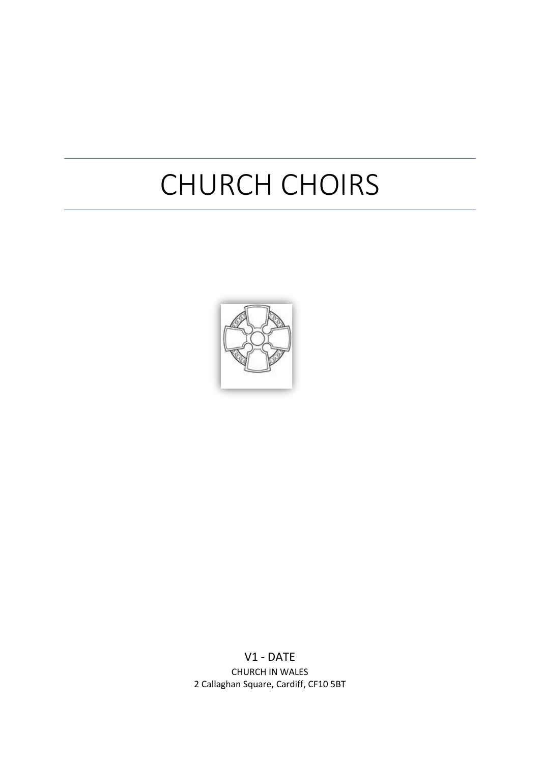# CHURCH CHOIRS



V1 - DATE CHURCH IN WALES 2 Callaghan Square, Cardiff, CF10 5BT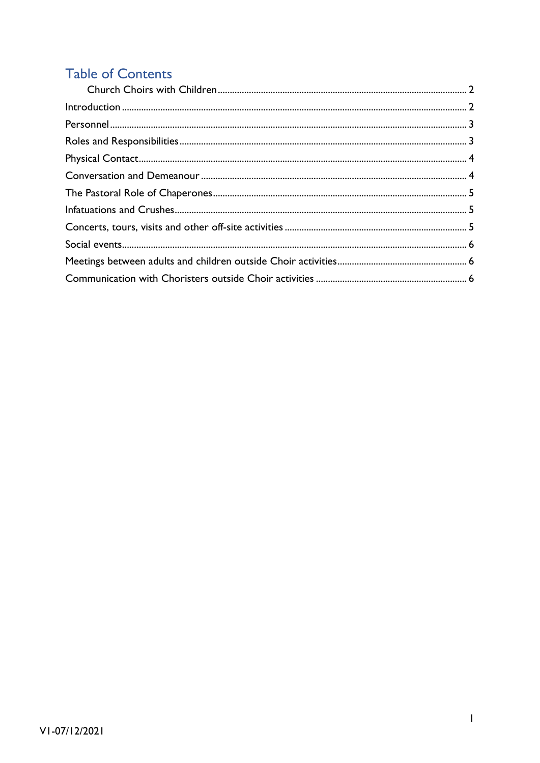# **Table of Contents**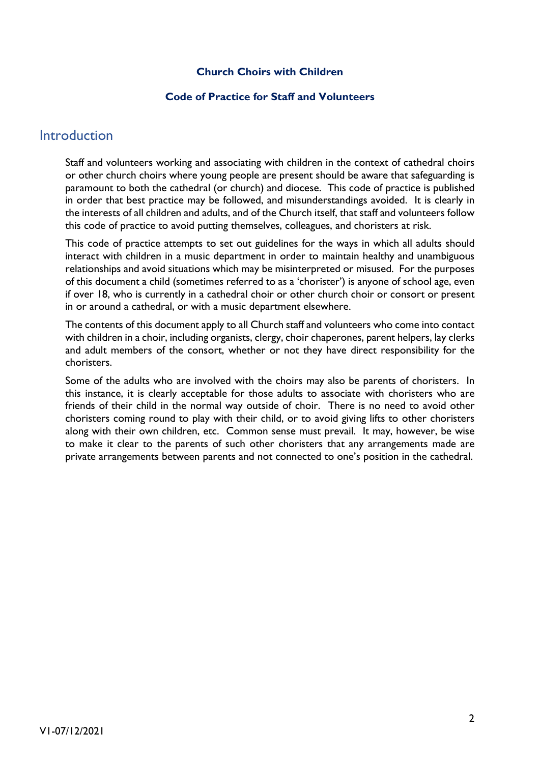#### **Church Choirs with Children**

#### **Code of Practice for Staff and Volunteers**

#### <span id="page-2-1"></span><span id="page-2-0"></span>**Introduction**

Staff and volunteers working and associating with children in the context of cathedral choirs or other church choirs where young people are present should be aware that safeguarding is paramount to both the cathedral (or church) and diocese. This code of practice is published in order that best practice may be followed, and misunderstandings avoided. It is clearly in the interests of all children and adults, and of the Church itself, that staff and volunteers follow this code of practice to avoid putting themselves, colleagues, and choristers at risk.

This code of practice attempts to set out guidelines for the ways in which all adults should interact with children in a music department in order to maintain healthy and unambiguous relationships and avoid situations which may be misinterpreted or misused. For the purposes of this document a child (sometimes referred to as a 'chorister') is anyone of school age, even if over 18, who is currently in a cathedral choir or other church choir or consort or present in or around a cathedral, or with a music department elsewhere.

The contents of this document apply to all Church staff and volunteers who come into contact with children in a choir, including organists, clergy, choir chaperones, parent helpers, lay clerks and adult members of the consort, whether or not they have direct responsibility for the choristers.

Some of the adults who are involved with the choirs may also be parents of choristers. In this instance, it is clearly acceptable for those adults to associate with choristers who are friends of their child in the normal way outside of choir. There is no need to avoid other choristers coming round to play with their child, or to avoid giving lifts to other choristers along with their own children, etc. Common sense must prevail. It may, however, be wise to make it clear to the parents of such other choristers that any arrangements made are private arrangements between parents and not connected to one's position in the cathedral.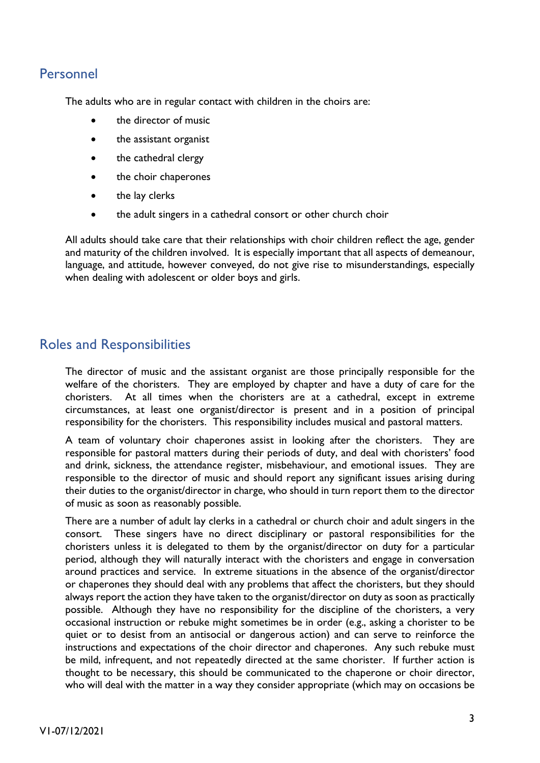### <span id="page-3-0"></span>Personnel

The adults who are in regular contact with children in the choirs are:

- the director of music
- the assistant organist
- the cathedral clergy
- the choir chaperones
- the lay clerks
- the adult singers in a cathedral consort or other church choir

All adults should take care that their relationships with choir children reflect the age, gender and maturity of the children involved. It is especially important that all aspects of demeanour, language, and attitude, however conveyed, do not give rise to misunderstandings, especially when dealing with adolescent or older boys and girls.

#### <span id="page-3-1"></span>Roles and Responsibilities

The director of music and the assistant organist are those principally responsible for the welfare of the choristers. They are employed by chapter and have a duty of care for the choristers. At all times when the choristers are at a cathedral, except in extreme circumstances, at least one organist/director is present and in a position of principal responsibility for the choristers. This responsibility includes musical and pastoral matters.

A team of voluntary choir chaperones assist in looking after the choristers. They are responsible for pastoral matters during their periods of duty, and deal with choristers' food and drink, sickness, the attendance register, misbehaviour, and emotional issues. They are responsible to the director of music and should report any significant issues arising during their duties to the organist/director in charge, who should in turn report them to the director of music as soon as reasonably possible.

There are a number of adult lay clerks in a cathedral or church choir and adult singers in the consort. These singers have no direct disciplinary or pastoral responsibilities for the choristers unless it is delegated to them by the organist/director on duty for a particular period, although they will naturally interact with the choristers and engage in conversation around practices and service. In extreme situations in the absence of the organist/director or chaperones they should deal with any problems that affect the choristers, but they should always report the action they have taken to the organist/director on duty as soon as practically possible. Although they have no responsibility for the discipline of the choristers, a very occasional instruction or rebuke might sometimes be in order (e.g., asking a chorister to be quiet or to desist from an antisocial or dangerous action) and can serve to reinforce the instructions and expectations of the choir director and chaperones. Any such rebuke must be mild, infrequent, and not repeatedly directed at the same chorister. If further action is thought to be necessary, this should be communicated to the chaperone or choir director, who will deal with the matter in a way they consider appropriate (which may on occasions be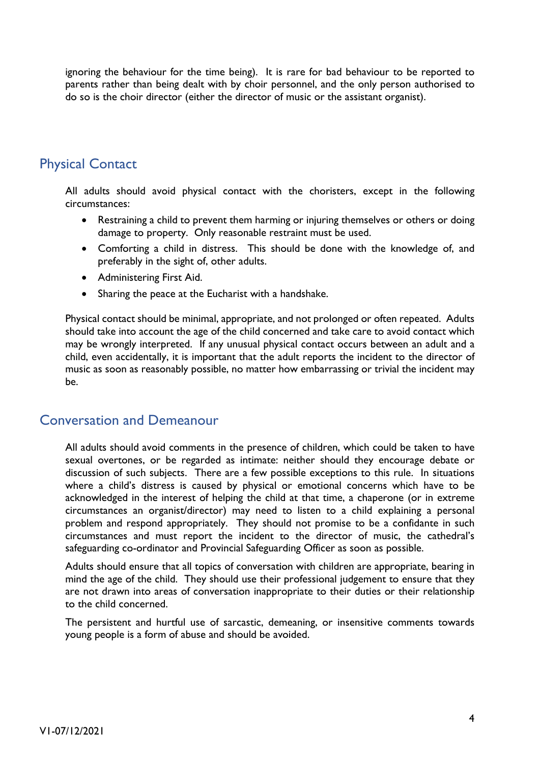ignoring the behaviour for the time being). It is rare for bad behaviour to be reported to parents rather than being dealt with by choir personnel, and the only person authorised to do so is the choir director (either the director of music or the assistant organist).

## <span id="page-4-0"></span>Physical Contact

All adults should avoid physical contact with the choristers, except in the following circumstances:

- Restraining a child to prevent them harming or injuring themselves or others or doing damage to property. Only reasonable restraint must be used.
- Comforting a child in distress. This should be done with the knowledge of, and preferably in the sight of, other adults.
- Administering First Aid.
- Sharing the peace at the Eucharist with a handshake.

Physical contact should be minimal, appropriate, and not prolonged or often repeated. Adults should take into account the age of the child concerned and take care to avoid contact which may be wrongly interpreted. If any unusual physical contact occurs between an adult and a child, even accidentally, it is important that the adult reports the incident to the director of music as soon as reasonably possible, no matter how embarrassing or trivial the incident may be.

#### <span id="page-4-1"></span>Conversation and Demeanour

All adults should avoid comments in the presence of children, which could be taken to have sexual overtones, or be regarded as intimate: neither should they encourage debate or discussion of such subjects. There are a few possible exceptions to this rule. In situations where a child's distress is caused by physical or emotional concerns which have to be acknowledged in the interest of helping the child at that time, a chaperone (or in extreme circumstances an organist/director) may need to listen to a child explaining a personal problem and respond appropriately. They should not promise to be a confidante in such circumstances and must report the incident to the director of music, the cathedral's safeguarding co-ordinator and Provincial Safeguarding Officer as soon as possible.

Adults should ensure that all topics of conversation with children are appropriate, bearing in mind the age of the child. They should use their professional judgement to ensure that they are not drawn into areas of conversation inappropriate to their duties or their relationship to the child concerned.

The persistent and hurtful use of sarcastic, demeaning, or insensitive comments towards young people is a form of abuse and should be avoided.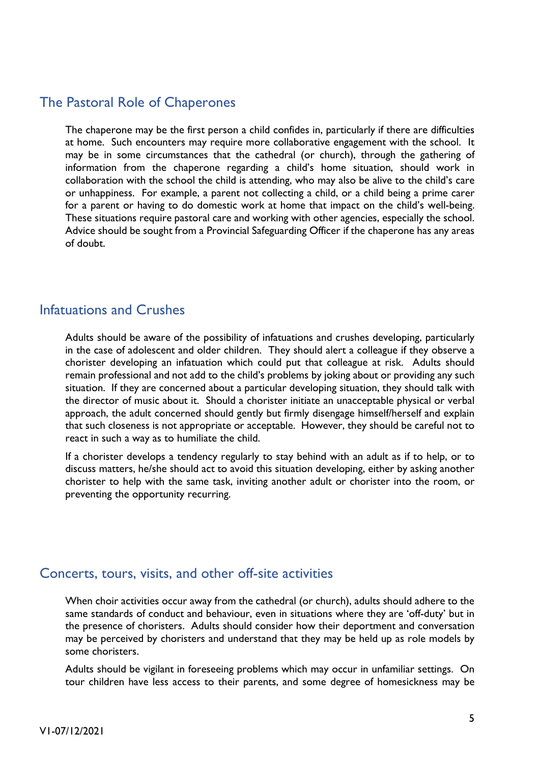#### <span id="page-5-0"></span>The Pastoral Role of Chaperones

The chaperone may be the first person a child confides in, particularly if there are difficulties at home. Such encounters may require more collaborative engagement with the school. It may be in some circumstances that the cathedral (or church), through the gathering of information from the chaperone regarding a child's home situation, should work in collaboration with the school the child is attending, who may also be alive to the child's care or unhappiness. For example, a parent not collecting a child, or a child being a prime carer for a parent or having to do domestic work at home that impact on the child's well-being. These situations require pastoral care and working with other agencies, especially the school. Advice should be sought from a Provincial Safeguarding Officer if the chaperone has any areas of doubt.

#### <span id="page-5-1"></span>Infatuations and Crushes

Adults should be aware of the possibility of infatuations and crushes developing, particularly in the case of adolescent and older children. They should alert a colleague if they observe a chorister developing an infatuation which could put that colleague at risk. Adults should remain professional and not add to the child's problems by joking about or providing any such situation. If they are concerned about a particular developing situation, they should talk with the director of music about it. Should a chorister initiate an unacceptable physical or verbal approach, the adult concerned should gently but firmly disengage himself/herself and explain that such closeness is not appropriate or acceptable. However, they should be careful not to react in such a way as to humiliate the child.

If a chorister develops a tendency regularly to stay behind with an adult as if to help, or to discuss matters, he/she should act to avoid this situation developing, either by asking another chorister to help with the same task, inviting another adult or chorister into the room, or preventing the opportunity recurring.

#### <span id="page-5-2"></span>Concerts, tours, visits, and other off-site activities

When choir activities occur away from the cathedral (or church), adults should adhere to the same standards of conduct and behaviour, even in situations where they are 'off-duty' but in the presence of choristers. Adults should consider how their deportment and conversation may be perceived by choristers and understand that they may be held up as role models by some choristers.

Adults should be vigilant in foreseeing problems which may occur in unfamiliar settings. On tour children have less access to their parents, and some degree of homesickness may be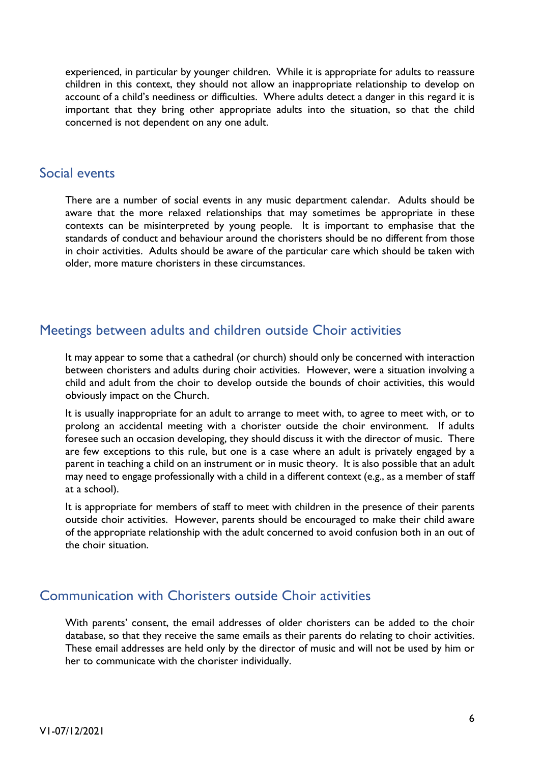experienced, in particular by younger children. While it is appropriate for adults to reassure children in this context, they should not allow an inappropriate relationship to develop on account of a child's neediness or difficulties. Where adults detect a danger in this regard it is important that they bring other appropriate adults into the situation, so that the child concerned is not dependent on any one adult.

#### <span id="page-6-0"></span>Social events

There are a number of social events in any music department calendar. Adults should be aware that the more relaxed relationships that may sometimes be appropriate in these contexts can be misinterpreted by young people. It is important to emphasise that the standards of conduct and behaviour around the choristers should be no different from those in choir activities. Adults should be aware of the particular care which should be taken with older, more mature choristers in these circumstances.

#### <span id="page-6-1"></span>Meetings between adults and children outside Choir activities

It may appear to some that a cathedral (or church) should only be concerned with interaction between choristers and adults during choir activities. However, were a situation involving a child and adult from the choir to develop outside the bounds of choir activities, this would obviously impact on the Church.

It is usually inappropriate for an adult to arrange to meet with, to agree to meet with, or to prolong an accidental meeting with a chorister outside the choir environment. If adults foresee such an occasion developing, they should discuss it with the director of music. There are few exceptions to this rule, but one is a case where an adult is privately engaged by a parent in teaching a child on an instrument or in music theory. It is also possible that an adult may need to engage professionally with a child in a different context (e.g., as a member of staff at a school).

It is appropriate for members of staff to meet with children in the presence of their parents outside choir activities. However, parents should be encouraged to make their child aware of the appropriate relationship with the adult concerned to avoid confusion both in an out of the choir situation.

#### <span id="page-6-2"></span>Communication with Choristers outside Choir activities

With parents' consent, the email addresses of older choristers can be added to the choir database, so that they receive the same emails as their parents do relating to choir activities. These email addresses are held only by the director of music and will not be used by him or her to communicate with the chorister individually.